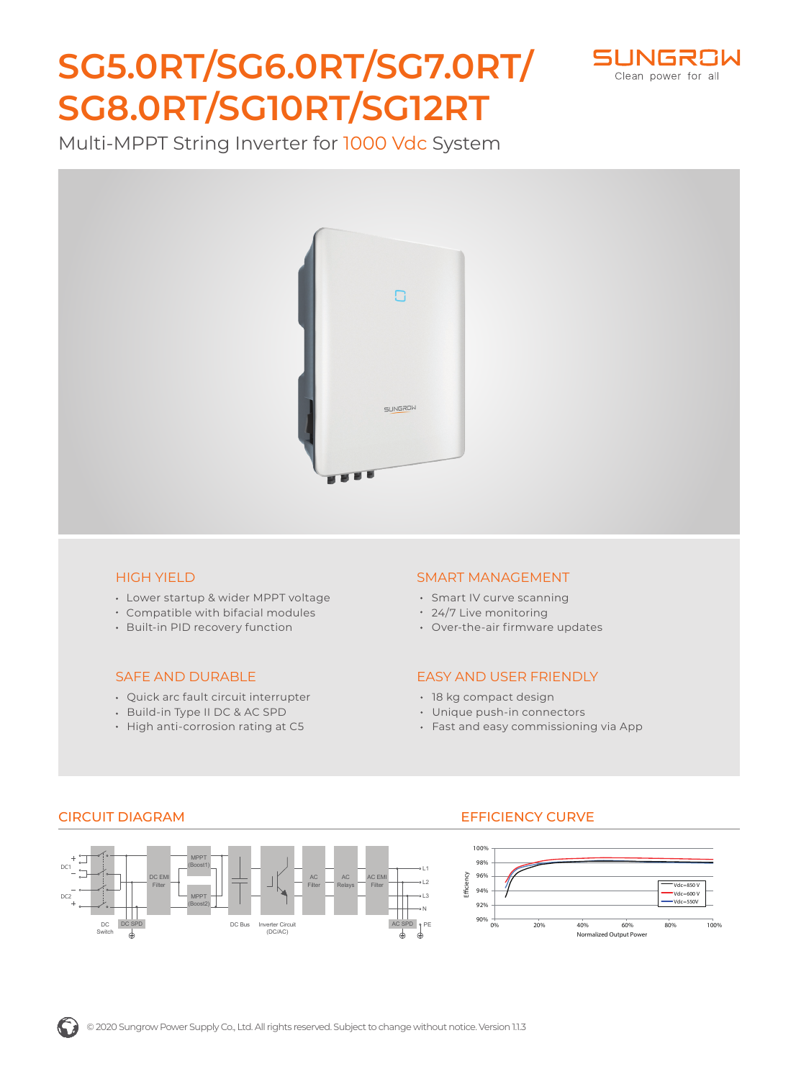# **SG5.0RT/SG6.0RT/SG7.0RT/ SG8.0RT/SG10RT/SG12RT**



Multi-MPPT String Inverter for 1000 Vdc System



#### HIGH YIELD

- Lower startup & wider MPPT voltage
- Compatible with bifacial modules
- Built-in PID recovery function

#### SAFE AND DURABLE

- Quick arc fault circuit interrupter
- Build-in Type II DC & AC SPD
- High anti-corrosion rating at C5

#### SMART MANAGEMENT

- Smart IV curve scanning
- 24/7 Live monitoring
- Over-the-air firmware updates

#### EASY AND USER FRIENDLY

- 18 kg compact design
- Unique push-in connectors
- Fast and easy commissioning via App



### CIRCUIT DIAGRAM EFFICIENCY CURVE